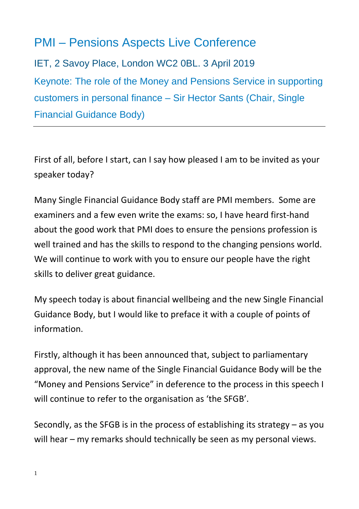# PMI – Pensions Aspects Live Conference

IET, 2 Savoy Place, London WC2 0BL. 3 April 2019 Keynote: The role of the Money and Pensions Service in supporting customers in personal finance – Sir Hector Sants (Chair, Single Financial Guidance Body)

First of all, before I start, can I say how pleased I am to be invited as your speaker today?

Many Single Financial Guidance Body staff are PMI members. Some are examiners and a few even write the exams: so, I have heard first-hand about the good work that PMI does to ensure the pensions profession is well trained and has the skills to respond to the changing pensions world. We will continue to work with you to ensure our people have the right skills to deliver great guidance.

My speech today is about financial wellbeing and the new Single Financial Guidance Body, but I would like to preface it with a couple of points of information.

Firstly, although it has been announced that, subject to parliamentary approval, the new name of the Single Financial Guidance Body will be the "Money and Pensions Service" in deference to the process in this speech I will continue to refer to the organisation as 'the SFGB'.

Secondly, as the SFGB is in the process of establishing its strategy – as you will hear – my remarks should technically be seen as my personal views.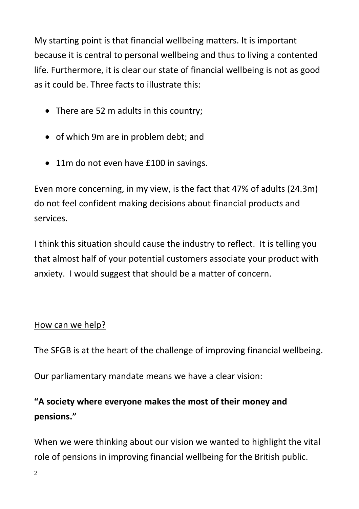My starting point is that financial wellbeing matters. It is important because it is central to personal wellbeing and thus to living a contented life. Furthermore, it is clear our state of financial wellbeing is not as good as it could be. Three facts to illustrate this:

- There are 52 m adults in this country;
- of which 9m are in problem debt; and
- 11m do not even have £100 in savings.

Even more concerning, in my view, is the fact that 47% of adults (24.3m) do not feel confident making decisions about financial products and services.

I think this situation should cause the industry to reflect. It is telling you that almost half of your potential customers associate your product with anxiety. I would suggest that should be a matter of concern.

#### How can we help?

The SFGB is at the heart of the challenge of improving financial wellbeing.

Our parliamentary mandate means we have a clear vision:

### **"A society where everyone makes the most of their money and pensions."**

When we were thinking about our vision we wanted to highlight the vital role of pensions in improving financial wellbeing for the British public.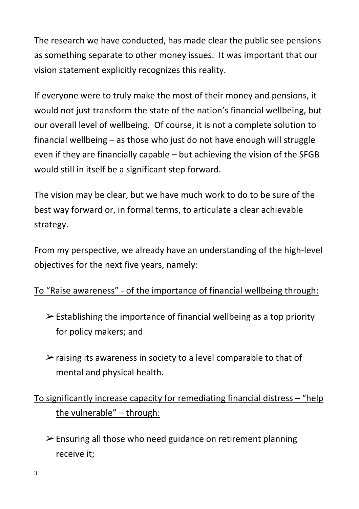The research we have conducted, has made clear the public see pensions as something separate to other money issues. It was important that our vision statement explicitly recognizes this reality.

If everyone were to truly make the most of their money and pensions, it would not just transform the state of the nation's financial wellbeing, but our overall level of wellbeing. Of course, it is not a complete solution to financial wellbeing – as those who just do not have enough will struggle even if they are financially capable – but achieving the vision of the SFGB would still in itself be a significant step forward.

The vision may be clear, but we have much work to do to be sure of the best way forward or, in formal terms, to articulate a clear achievable strategy.

From my perspective, we already have an understanding of the high-level objectives for the next five years, namely:

### To "Raise awareness" - of the importance of financial wellbeing through:

- $\triangleright$  Establishing the importance of financial wellbeing as a top priority for policy makers; and
- $\triangleright$  raising its awareness in society to a level comparable to that of mental and physical health.

## To significantly increase capacity for remediating financial distress – "help the vulnerable" – through:

 $\triangleright$  Ensuring all those who need guidance on retirement planning receive it;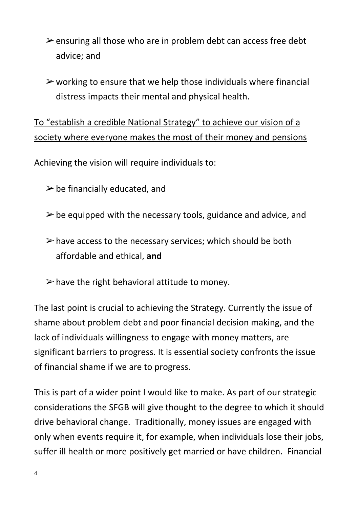- $\triangleright$  ensuring all those who are in problem debt can access free debt advice; and
- $\triangleright$  working to ensure that we help those individuals where financial distress impacts their mental and physical health.

To "establish a credible National Strategy" to achieve our vision of a society where everyone makes the most of their money and pensions

Achieving the vision will require individuals to:

- $\triangleright$  be financially educated, and
- $\triangleright$  be equipped with the necessary tools, guidance and advice, and
- $\triangleright$  have access to the necessary services; which should be both affordable and ethical, **and**
- $\triangleright$  have the right behavioral attitude to money.

The last point is crucial to achieving the Strategy. Currently the issue of shame about problem debt and poor financial decision making, and the lack of individuals willingness to engage with money matters, are significant barriers to progress. It is essential society confronts the issue of financial shame if we are to progress.

This is part of a wider point I would like to make. As part of our strategic considerations the SFGB will give thought to the degree to which it should drive behavioral change. Traditionally, money issues are engaged with only when events require it, for example, when individuals lose their jobs, suffer ill health or more positively get married or have children. Financial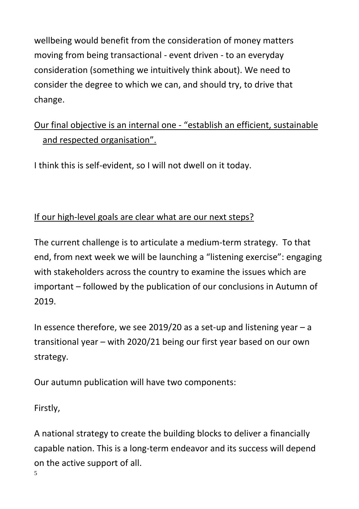wellbeing would benefit from the consideration of money matters moving from being transactional - event driven - to an everyday consideration (something we intuitively think about). We need to consider the degree to which we can, and should try, to drive that change.

## Our final objective is an internal one - "establish an efficient, sustainable and respected organisation".

I think this is self-evident, so I will not dwell on it today.

#### If our high-level goals are clear what are our next steps?

The current challenge is to articulate a medium-term strategy. To that end, from next week we will be launching a "listening exercise": engaging with stakeholders across the country to examine the issues which are important – followed by the publication of our conclusions in Autumn of 2019.

In essence therefore, we see 2019/20 as a set-up and listening year  $-a$ transitional year – with 2020/21 being our first year based on our own strategy.

Our autumn publication will have two components:

Firstly,

5 A national strategy to create the building blocks to deliver a financially capable nation. This is a long-term endeavor and its success will depend on the active support of all.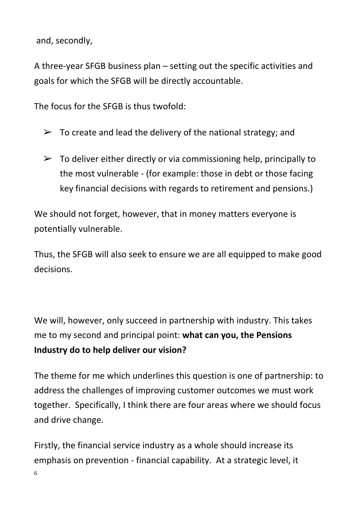and, secondly,

A three-year SFGB business plan – setting out the specific activities and goals for which the SFGB will be directly accountable.

The focus for the SFGB is thus twofold:

- $\triangleright$  To create and lead the delivery of the national strategy; and
- $\triangleright$  To deliver either directly or via commissioning help, principally to the most vulnerable - (for example: those in debt or those facing key financial decisions with regards to retirement and pensions.)

We should not forget, however, that in money matters everyone is potentially vulnerable.

Thus, the SFGB will also seek to ensure we are all equipped to make good decisions.

We will, however, only succeed in partnership with industry. This takes me to my second and principal point: **what can you, the Pensions Industry do to help deliver our vision?**

The theme for me which underlines this question is one of partnership: to address the challenges of improving customer outcomes we must work together. Specifically, I think there are four areas where we should focus and drive change.

6 Firstly, the financial service industry as a whole should increase its emphasis on prevention - financial capability. At a strategic level, it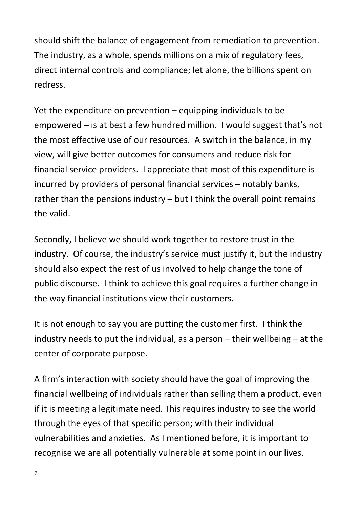should shift the balance of engagement from remediation to prevention. The industry, as a whole, spends millions on a mix of regulatory fees, direct internal controls and compliance; let alone, the billions spent on redress.

Yet the expenditure on prevention – equipping individuals to be empowered – is at best a few hundred million. I would suggest that's not the most effective use of our resources. A switch in the balance, in my view, will give better outcomes for consumers and reduce risk for financial service providers. I appreciate that most of this expenditure is incurred by providers of personal financial services – notably banks, rather than the pensions industry – but I think the overall point remains the valid.

Secondly, I believe we should work together to restore trust in the industry. Of course, the industry's service must justify it, but the industry should also expect the rest of us involved to help change the tone of public discourse. I think to achieve this goal requires a further change in the way financial institutions view their customers.

It is not enough to say you are putting the customer first. I think the industry needs to put the individual, as a person – their wellbeing – at the center of corporate purpose.

A firm's interaction with society should have the goal of improving the financial wellbeing of individuals rather than selling them a product, even if it is meeting a legitimate need. This requires industry to see the world through the eyes of that specific person; with their individual vulnerabilities and anxieties. As I mentioned before, it is important to recognise we are all potentially vulnerable at some point in our lives.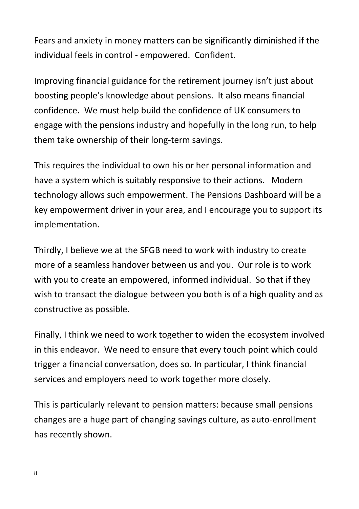Fears and anxiety in money matters can be significantly diminished if the individual feels in control - empowered. Confident.

Improving financial guidance for the retirement journey isn't just about boosting people's knowledge about pensions. It also means financial confidence. We must help build the confidence of UK consumers to engage with the pensions industry and hopefully in the long run, to help them take ownership of their long-term savings.

This requires the individual to own his or her personal information and have a system which is suitably responsive to their actions. Modern technology allows such empowerment. The Pensions Dashboard will be a key empowerment driver in your area, and I encourage you to support its implementation.

Thirdly, I believe we at the SFGB need to work with industry to create more of a seamless handover between us and you. Our role is to work with you to create an empowered, informed individual. So that if they wish to transact the dialogue between you both is of a high quality and as constructive as possible.

Finally, I think we need to work together to widen the ecosystem involved in this endeavor. We need to ensure that every touch point which could trigger a financial conversation, does so. In particular, I think financial services and employers need to work together more closely.

This is particularly relevant to pension matters: because small pensions changes are a huge part of changing savings culture, as auto-enrollment has recently shown.